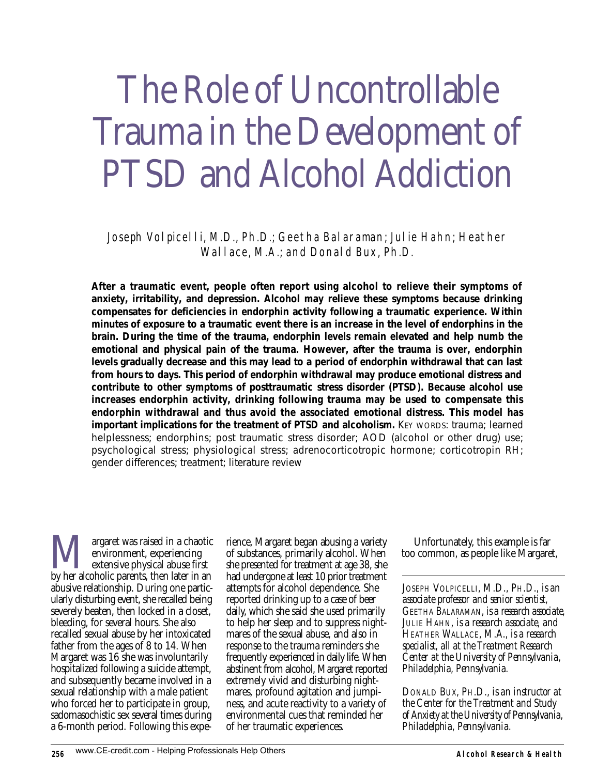# The Role of Uncontrollable Trauma in the Development of PTSD and Alcohol Addiction

Joseph Volpicelli, M.D., Ph.D.; Geetha Balaraman; Julie Hahn; Heather Wallace, M.A.; and Donald Bux, Ph.D.

*After a traumatic event, people often report using alcohol to relieve their symptoms of anxiety, irritability, and depression. Alcohol may relieve these symptoms because drinking compensates for deficiencies in endorphin activity following a traumatic experience. Within minutes of exposure to a traumatic event there is an increase in the level of endorphins in the brain. During the time of the trauma, endorphin levels remain elevated and help numb the emotional and physical pain of the trauma. However, after the trauma is over, endorphin levels gradually decrease and this may lead to a period of endorphin withdrawal that can last from hours to days. This period of endorphin withdrawal may produce emotional distress and contribute to other symptoms of posttraumatic stress disorder (PTSD). Because alcohol use increases endorphin activity, drinking following trauma may be used to compensate this endorphin withdrawal and thus avoid the associated emotional distress. This model has important implications for the treatment of PTSD and alcoholism. KEY WORDS: trauma; learned helplessness; endorphins; post traumatic stress disorder; AOD (alcohol or other drug) use; psychological stress; physiological stress; adrenocorticotropic hormone; corticotropin RH; gender differences; treatment; literature review*

**Margaret was raised in a chaotic environment, experiencing**<br>by her alcoholic parents, then later in an environment, experiencing extensive physical abuse first abusive relationship. During one particularly disturbing event, she recalled being severely beaten, then locked in a closet, bleeding, for several hours. She also recalled sexual abuse by her intoxicated father from the ages of 8 to 14. When Margaret was 16 she was involuntarily hospitalized following a suicide attempt, and subsequently became involved in a sexual relationship with a male patient who forced her to participate in group, sadomasochistic sex several times during a 6-month period. Following this expe-

rience, Margaret began abusing a variety of substances, primarily alcohol. When she presented for treatment at age 38, she had undergone at least 10 prior treatment attempts for alcohol dependence. She reported drinking up to a case of beer daily, which she said she used primarily to help her sleep and to suppress nightmares of the sexual abuse, and also in response to the trauma reminders she frequently experienced in daily life. When abstinent from alcohol, Margaret reported extremely vivid and disturbing nightmares, profound agitation and jumpiness, and acute reactivity to a variety of environmental cues that reminded her of her traumatic experiences.

Unfortunately, this example is far too common, as people like Margaret,

*JOSEPH VOLPICELLI, M.D., PH.D., is an associate professor and senior scientist, GEETHA BALARAMAN, is a research associate, JULIE HAHN, is a research associate, and HEATHER WALLACE, M.A., is a research specialist, all at the Treatment Research Center at the University of Pennsylvania, Philadelphia, Pennsylvania.*

*DONALD BUX, PH.D., is an instructor at the Center for the Treatment and Study of Anxiety at the University of Pennsylvania, Philadelphia, Pennsylvania.*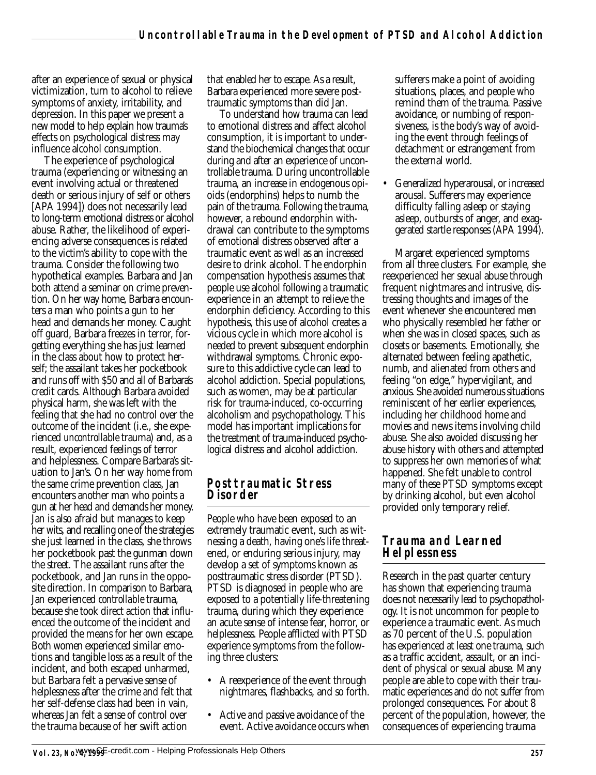after an experience of sexual or physical victimization, turn to alcohol to relieve symptoms of anxiety, irritability, and depression. In this paper we present a new model to help explain how trauma's effects on psychological distress may influence alcohol consumption.

The experience of psychological trauma (experiencing or witnessing an event involving actual or threatened death or serious injury of self or others [APA 1994]) does not necessarily lead to long-term emotional distress or alcohol abuse. Rather, the likelihood of experiencing adverse consequences is related to the victim's ability to cope with the trauma. Consider the following two hypothetical examples. Barbara and Jan both attend a seminar on crime prevention. On her way home, Barbara encounters a man who points a gun to her head and demands her money. Caught off guard, Barbara freezes in terror, forgetting everything she has just learned in the class about how to protect herself; the assailant takes her pocketbook and runs off with \$50 and all of Barbara's credit cards. Although Barbara avoided physical harm, she was left with the feeling that she had no control over the outcome of the incident (i.e., she experienced *uncontrollable* trauma) and, as a result, experienced feelings of terror and helplessness. Compare Barbara's situation to Jan's. On her way home from the same crime prevention class, Jan encounters another man who points a gun at her head and demands her money. Jan is also afraid but manages to keep her wits, and recalling one of the strategies she just learned in the class, she throws her pocketbook past the gunman down the street. The assailant runs after the pocketbook, and Jan runs in the opposite direction. In comparison to Barbara, Jan experienced *controllable* trauma, because she took direct action that influenced the outcome of the incident and provided the means for her own escape. Both women experienced similar emotions and tangible loss as a result of the incident, and both escaped unharmed, but Barbara felt a pervasive sense of helplessness after the crime and felt that her self-defense class had been in vain, whereas Jan felt a sense of control over the trauma because of her swift action

that enabled her to escape. As a result, Barbara experienced more severe posttraumatic symptoms than did Jan.

To understand how trauma can lead to emotional distress and affect alcohol consumption, it is important to understand the biochemical changes that occur during and after an experience of uncontrollable trauma. During uncontrollable trauma, an increase in endogenous opioids (endorphins) helps to numb the pain of the trauma. Following the trauma, however, a rebound endorphin withdrawal can contribute to the symptoms of emotional distress observed after a traumatic event as well as an increased desire to drink alcohol. The endorphin compensation hypothesis assumes that people use alcohol following a traumatic experience in an attempt to relieve the endorphin deficiency. According to this hypothesis, this use of alcohol creates a vicious cycle in which more alcohol is needed to prevent subsequent endorphin withdrawal symptoms. Chronic exposure to this addictive cycle can lead to alcohol addiction. Special populations, such as women, may be at particular risk for trauma-induced, co-occurring alcoholism and psychopathology. This model has important implications for the treatment of trauma-induced psychological distress and alcohol addiction.

#### **Posttraumatic Stress Disorder**

People who have been exposed to an extremely traumatic event, such as witnessing a death, having one's life threatened, or enduring serious injury, may develop a set of symptoms known as posttraumatic stress disorder (PTSD). PTSD is diagnosed in people who are exposed to a potentially life-threatening trauma, during which they experience an acute sense of intense fear, horror, or helplessness. People afflicted with PTSD experience symptoms from the following three clusters:

- A reexperience of the event through nightmares, flashbacks, and so forth.
- Active and passive avoidance of the event. Active avoidance occurs when

sufferers make a point of avoiding situations, places, and people who remind them of the trauma. Passive avoidance, or numbing of responsiveness, is the body's way of avoiding the event through feelings of detachment or estrangement from the external world.

• Generalized hyperarousal, or increased arousal. Sufferers may experience difficulty falling asleep or staying asleep, outbursts of anger, and exaggerated startle responses (APA 1994).

Margaret experienced symptoms from all three clusters. For example, she reexperienced her sexual abuse through frequent nightmares and intrusive, distressing thoughts and images of the event whenever she encountered men who physically resembled her father or when she was in closed spaces, such as closets or basements. Emotionally, she alternated between feeling apathetic, numb, and alienated from others and feeling "on edge," hypervigilant, and anxious. She avoided numerous situations reminiscent of her earlier experiences, including her childhood home and movies and news items involving child abuse. She also avoided discussing her abuse history with others and attempted to suppress her own memories of what happened. She felt unable to control many of these PTSD symptoms except by drinking alcohol, but even alcohol provided only temporary relief.

#### **Trauma and Learned Helplessness**

Research in the past quarter century has shown that experiencing trauma does not necessarily lead to psychopathology. It is not uncommon for people to experience a traumatic event. As much as 70 percent of the U.S. population has experienced at least one trauma, such as a traffic accident, assault, or an incident of physical or sexual abuse. Many people are able to cope with their traumatic experiences and do not suffer from prolonged consequences. For about 8 percent of the population, however, the consequences of experiencing trauma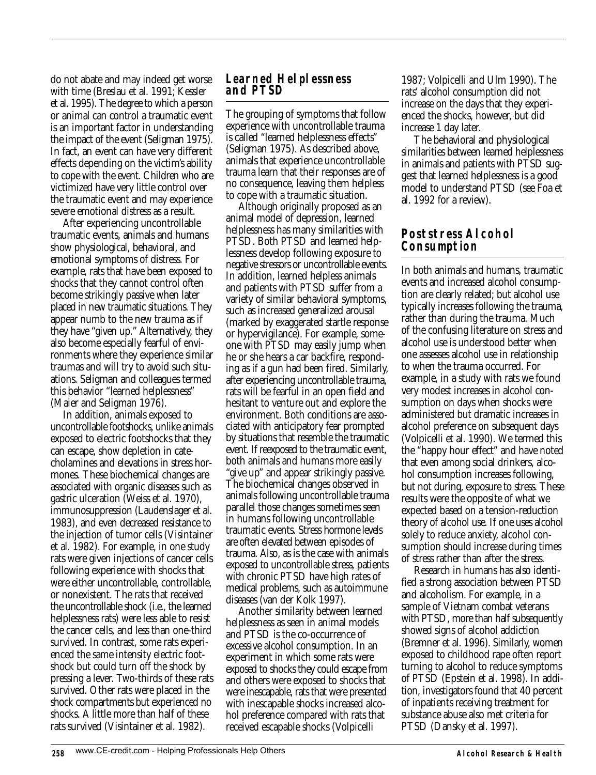do not abate and may indeed get worse with time (Breslau et al. 1991; Kessler et al. 1995). The degree to which a person or animal can control a traumatic event is an important factor in understanding the impact of the event (Seligman 1975). In fact, an event can have very different effects depending on the victim's ability to cope with the event. Children who are victimized have very little control over the traumatic event and may experience severe emotional distress as a result.

After experiencing uncontrollable traumatic events, animals and humans show physiological, behavioral, and emotional symptoms of distress. For example, rats that have been exposed to shocks that they cannot control often become strikingly passive when later placed in new traumatic situations. They appear numb to the new trauma as if they have "given up." Alternatively, they also become especially fearful of environments where they experience similar traumas and will try to avoid such situations. Seligman and colleagues termed this behavior "learned helplessness" (Maier and Seligman 1976).

In addition, animals exposed to uncontrollable footshocks, unlike animals exposed to electric footshocks that they can escape, show depletion in catecholamines and elevations in stress hormones. These biochemical changes are associated with organic diseases such as gastric ulceration (Weiss et al. 1970), immunosuppression (Laudenslager et al. 1983), and even decreased resistance to the injection of tumor cells (Visintainer et al. 1982). For example, in one study rats were given injections of cancer cells following experience with shocks that were either uncontrollable, controllable, or nonexistent. The rats that received the uncontrollable shock (i.e., the learned helplessness rats) were less able to resist the cancer cells, and less than one-third survived. In contrast, some rats experienced the same intensity electric footshock but could turn off the shock by pressing a lever. Two-thirds of these rats survived. Other rats were placed in the shock compartments but experienced no shocks. A little more than half of these rats survived (Visintainer et al. 1982).

#### **Learned Helplessness and PTSD**

The grouping of symptoms that follow experience with uncontrollable trauma is called "learned helplessness effects" (Seligman 1975). As described above, animals that experience uncontrollable trauma learn that their responses are of no consequence, leaving them helpless to cope with a traumatic situation.

Although originally proposed as an animal model of depression, learned helplessness has many similarities with PTSD. Both PTSD and learned helplessness develop following exposure to negative stressors or uncontrollable events. In addition, learned helpless animals and patients with PTSD suffer from a variety of similar behavioral symptoms, such as increased generalized arousal (marked by exaggerated startle response or hypervigilance). For example, someone with PTSD may easily jump when he or she hears a car backfire, responding as if a gun had been fired. Similarly, after experiencing uncontrollable trauma, rats will be fearful in an open field and hesitant to venture out and explore the environment. Both conditions are associated with anticipatory fear prompted by situations that resemble the traumatic event. If reexposed to the traumatic event, both animals and humans more easily "give up" and appear strikingly passive. The biochemical changes observed in animals following uncontrollable trauma parallel those changes sometimes seen in humans following uncontrollable traumatic events. Stress hormone levels are often elevated between episodes of trauma. Also, as is the case with animals exposed to uncontrollable stress, patients with chronic PTSD have high rates of medical problems, such as autoimmune diseases (van der Kolk 1997).

Another similarity between learned helplessness as seen in animal models and PTSD is the co-occurrence of excessive alcohol consumption. In an experiment in which some rats were exposed to shocks they could escape from and others were exposed to shocks that were inescapable, rats that were presented with inescapable shocks increased alcohol preference compared with rats that received escapable shocks (Volpicelli

1987; Volpicelli and Ulm 1990). The rats' alcohol consumption did not increase on the days that they experienced the shocks, however, but did increase 1 day later.

The behavioral and physiological similarities between learned helplessness in animals and patients with PTSD suggest that learned helplessness is a good model to understand PTSD (see Foa et al. 1992 for a review).

#### **Poststress Alcohol Consumption**

In both animals and humans, traumatic events and increased alcohol consumption are clearly related; but alcohol use typically increases following the trauma, rather than during the trauma. Much of the confusing literature on stress and alcohol use is understood better when one assesses alcohol use in relationship to when the trauma occurred. For example, in a study with rats we found very modest increases in alcohol consumption on days when shocks were administered but dramatic increases in alcohol preference on subsequent days (Volpicelli et al. 1990). We termed this the "happy hour effect" and have noted that even among social drinkers, alcohol consumption increases following, but not during, exposure to stress. These results were the opposite of what we expected based on a tension-reduction theory of alcohol use. If one uses alcohol solely to reduce anxiety, alcohol consumption should increase during times of stress rather than after the stress.

Research in humans has also identified a strong association between PTSD and alcoholism. For example, in a sample of Vietnam combat veterans with PTSD, more than half subsequently showed signs of alcohol addiction (Bremner et al. 1996). Similarly, women exposed to childhood rape often report turning to alcohol to reduce symptoms of PTSD (Epstein et al. 1998). In addition, investigators found that 40 percent of inpatients receiving treatment for substance abuse also met criteria for PTSD (Dansky et al. 1997).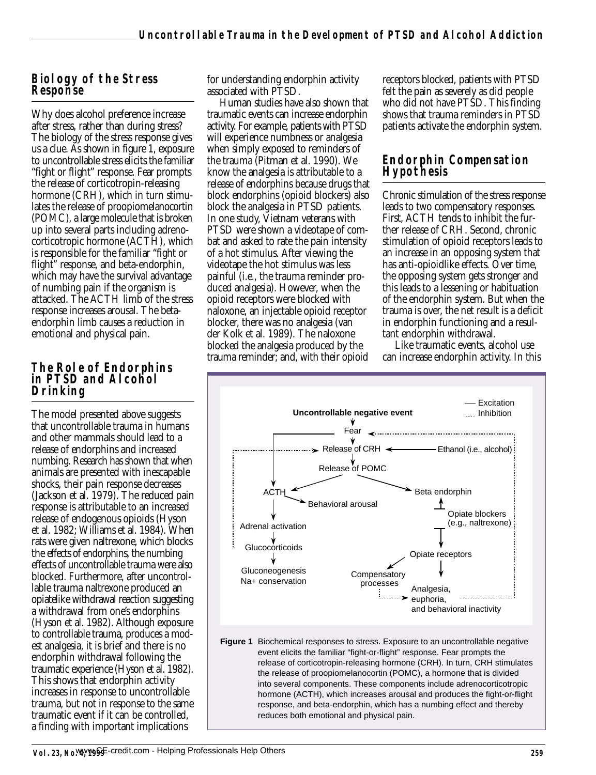#### **Biology of the Stress Response**

Why does alcohol preference increase after stress, rather than during stress? The biology of the stress response gives us a clue. As shown in figure 1, exposure to uncontrollable stress elicits the familiar "fight or flight" response. Fear prompts the release of corticotropin-releasing hormone (CRH), which in turn stimulates the release of proopiomelanocortin (POMC), a large molecule that is broken up into several parts including adrenocorticotropic hormone (ACTH), which is responsible for the familiar "fight or flight" response, and beta-endorphin, which may have the survival advantage of numbing pain if the organism is attacked. The ACTH limb of the stress response increases arousal. The betaendorphin limb causes a reduction in emotional and physical pain.

#### **The Role of Endorphins in PTSD and Alcohol Drinking**

The model presented above suggests that uncontrollable trauma in humans and other mammals should lead to a release of endorphins and increased numbing. Research has shown that when animals are presented with inescapable shocks, their pain response decreases (Jackson et al. 1979). The reduced pain response is attributable to an increased release of endogenous opioids (Hyson et al. 1982; Williams et al. 1984). When rats were given naltrexone, which blocks the effects of endorphins, the numbing effects of uncontrollable trauma were also blocked. Furthermore, after uncontrollable trauma naltrexone produced an opiatelike withdrawal reaction suggesting a withdrawal from one's endorphins (Hyson et al. 1982). Although exposure to controllable trauma, produces a modest analgesia, it is brief and there is no endorphin withdrawal following the traumatic experience (Hyson et al. 1982). This shows that endorphin activity increases in response to uncontrollable trauma, but not in response to the same traumatic event if it can be controlled, a finding with important implications

for understanding endorphin activity associated with PTSD.

Human studies have also shown that traumatic events can increase endorphin activity. For example, patients with PTSD will experience numbness or analgesia when simply exposed to reminders of the trauma (Pitman et al. 1990). We know the analgesia is attributable to a release of endorphins because drugs that block endorphins (opioid blockers) also block the analgesia in PTSD patients. In one study, Vietnam veterans with PTSD were shown a videotape of combat and asked to rate the pain intensity of a hot stimulus. After viewing the videotape the hot stimulus was less painful (i.e., the trauma reminder produced analgesia). However, when the opioid receptors were blocked with naloxone, an injectable opioid receptor blocker, there was no analgesia (van der Kolk et al. 1989). The naloxone blocked the analgesia produced by the trauma reminder; and, with their opioid

receptors blocked, patients with PTSD felt the pain as severely as did people who did not have PTSD. This finding shows that trauma reminders in PTSD patients activate the endorphin system.

#### **Endorphin Compensation Hypothesis**

Chronic stimulation of the stress response leads to two compensatory responses. First, ACTH tends to inhibit the further release of CRH. Second, chronic stimulation of opioid receptors leads to an increase in an opposing system that has anti-opioidlike effects. Over time, the opposing system gets stronger and this leads to a lessening or habituation of the endorphin system. But when the trauma is over, the net result is a deficit in endorphin functioning and a resultant endorphin withdrawal.

Like traumatic events, alcohol use can increase endorphin activity. In this



**Figure 1** Biochemical responses to stress. Exposure to an uncontrollable negative event elicits the familiar "fight-or-flight" response. Fear prompts the release of corticotropin-releasing hormone (CRH). In turn, CRH stimulates the release of proopiomelanocortin (POMC), a hormone that is divided into several components. These components include adrenocorticotropic hormone (ACTH), which increases arousal and produces the fight-or-flight response, and beta-endorphin, which has a numbing effect and thereby reduces both emotional and physical pain.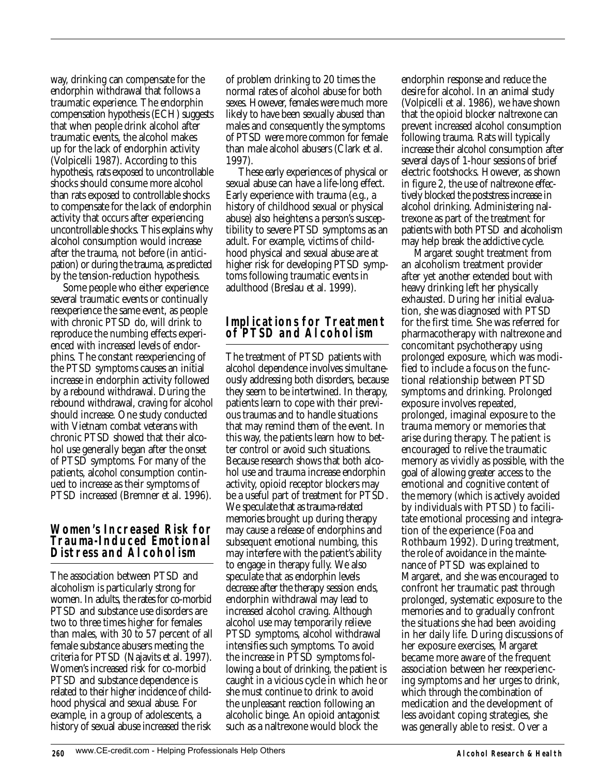way, drinking can compensate for the endorphin withdrawal that follows a traumatic experience. The endorphin compensation hypothesis (ECH) suggests that when people drink alcohol after traumatic events, the alcohol makes up for the lack of endorphin activity (Volpicelli 1987). According to this hypothesis, rats exposed to uncontrollable shocks should consume more alcohol than rats exposed to controllable shocks to compensate for the lack of endorphin activity that occurs after experiencing uncontrollable shocks. This explains why alcohol consumption would increase after the trauma, not before (in anticipation) or during the trauma, as predicted by the tension-reduction hypothesis.

Some people who either experience several traumatic events or continually reexperience the same event, as people with chronic PTSD do, will drink to reproduce the numbing effects experienced with increased levels of endorphins. The constant reexperiencing of the PTSD symptoms causes an initial increase in endorphin activity followed by a rebound withdrawal. During the rebound withdrawal, craving for alcohol should increase. One study conducted with Vietnam combat veterans with chronic PTSD showed that their alcohol use generally began after the onset of PTSD symptoms. For many of the patients, alcohol consumption continued to increase as their symptoms of PTSD increased (Bremner et al. 1996).

#### **Women's Increased Risk for Trauma-Induced Emotional Distress and Alcoholism**

The association between PTSD and alcoholism is particularly strong for women. In adults, the rates for co-morbid PTSD and substance use disorders are two to three times higher for females than males, with 30 to 57 percent of all female substance abusers meeting the criteria for PTSD (Najavits et al. 1997). Women's increased risk for co-morbid PTSD and substance dependence is related to their higher incidence of childhood physical and sexual abuse. For example, in a group of adolescents, a history of sexual abuse increased the risk

of problem drinking to 20 times the normal rates of alcohol abuse for both sexes. However, females were much more likely to have been sexually abused than males and consequently the symptoms of PTSD were more common for female than male alcohol abusers (Clark et al. 1997).

These early experiences of physical or sexual abuse can have a life-long effect. Early experience with trauma (e.g., a history of childhood sexual or physical abuse) also heightens a person's susceptibility to severe PTSD symptoms as an adult. For example, victims of childhood physical and sexual abuse are at higher risk for developing PTSD symptoms following traumatic events in adulthood (Breslau et al. 1999).

#### **Implications for Treatment of PTSD and Alcoholism**

The treatment of PTSD patients with alcohol dependence involves simultaneously addressing both disorders, because they seem to be intertwined. In therapy, patients learn to cope with their previous traumas and to handle situations that may remind them of the event. In this way, the patients learn how to better control or avoid such situations. Because research shows that both alcohol use and trauma increase endorphin activity, opioid receptor blockers may be a useful part of treatment for PTSD. We speculate that as trauma-related memories brought up during therapy may cause a release of endorphins and subsequent emotional numbing, this may interfere with the patient's ability to engage in therapy fully. We also speculate that as endorphin levels decrease after the therapy session ends, endorphin withdrawal may lead to increased alcohol craving. Although alcohol use may temporarily relieve PTSD symptoms, alcohol withdrawal intensifies such symptoms. To avoid the increase in PTSD symptoms following a bout of drinking, the patient is caught in a vicious cycle in which he or she must continue to drink to avoid the unpleasant reaction following an alcoholic binge. An opioid antagonist such as a naltrexone would block the

endorphin response and reduce the desire for alcohol. In an animal study (Volpicelli et al. 1986), we have shown that the opioid blocker naltrexone can prevent increased alcohol consumption following trauma. Rats will typically increase their alcohol consumption after several days of 1-hour sessions of brief electric footshocks. However, as shown in figure 2, the use of naltrexone effectively blocked the poststress increase in alcohol drinking. Administering naltrexone as part of the treatment for patients with both PTSD and alcoholism may help break the addictive cycle.

Margaret sought treatment from an alcoholism treatment provider after yet another extended bout with heavy drinking left her physically exhausted. During her initial evaluation, she was diagnosed with PTSD for the first time. She was referred for pharmacotherapy with naltrexone and concomitant psychotherapy using prolonged exposure, which was modified to include a focus on the functional relationship between PTSD symptoms and drinking. Prolonged exposure involves repeated, prolonged, imaginal exposure to the trauma memory or memories that arise during therapy. The patient is encouraged to relive the traumatic memory as vividly as possible, with the goal of allowing greater access to the emotional and cognitive content of the memory (which is actively avoided by individuals with PTSD) to facilitate emotional processing and integration of the experience (Foa and Rothbaum 1992). During treatment, the role of avoidance in the maintenance of PTSD was explained to Margaret, and she was encouraged to confront her traumatic past through prolonged, systematic exposure to the memories and to gradually confront the situations she had been avoiding in her daily life. During discussions of her exposure exercises, Margaret became more aware of the frequent association between her reexperiencing symptoms and her urges to drink, which through the combination of medication and the development of less avoidant coping strategies, she was generally able to resist. Over a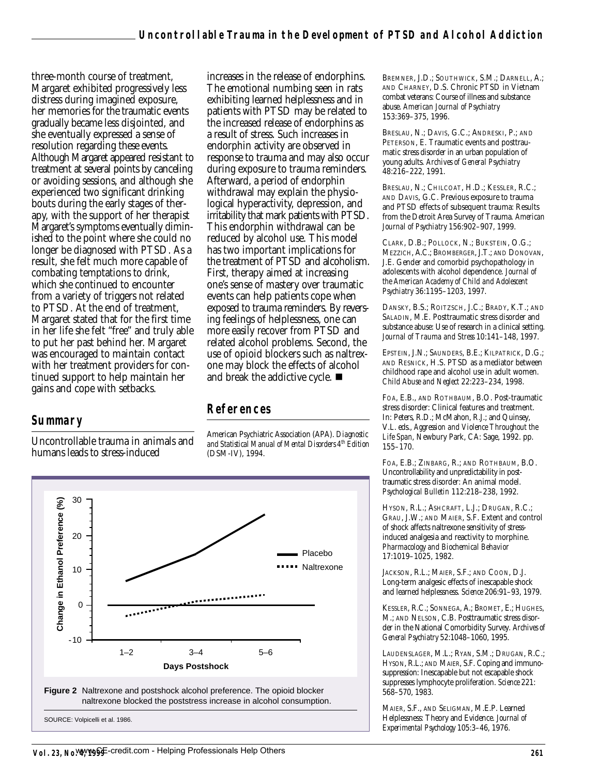three-month course of treatment, Margaret exhibited progressively less distress during imagined exposure, her memories for the traumatic events gradually became less disjointed, and she eventually expressed a sense of resolution regarding these events. Although Margaret appeared resistant to treatment at several points by canceling or avoiding sessions, and although she experienced two significant drinking bouts during the early stages of therapy, with the support of her therapist Margaret's symptoms eventually diminished to the point where she could no longer be diagnosed with PTSD. As a result, she felt much more capable of combating temptations to drink, which she continued to encounter from a variety of triggers not related to PTSD. At the end of treatment, Margaret stated that for the first time in her life she felt "free" and truly able to put her past behind her. Margaret was encouraged to maintain contact with her treatment providers for continued support to help maintain her gains and cope with setbacks.

#### **Summary**

Uncontrollable trauma in animals and humans leads to stress-induced

increases in the release of endorphins. The emotional numbing seen in rats exhibiting learned helplessness and in patients with PTSD may be related to the increased release of endorphins as a result of stress. Such increases in endorphin activity are observed in response to trauma and may also occur during exposure to trauma reminders. Afterward, a period of endorphin withdrawal may explain the physiological hyperactivity, depression, and irritability that mark patients with PTSD. This endorphin withdrawal can be reduced by alcohol use. This model has two important implications for the treatment of PTSD and alcoholism. First, therapy aimed at increasing one's sense of mastery over traumatic events can help patients cope when exposed to trauma reminders. By reversing feelings of helplessness, one can more easily recover from PTSD and related alcohol problems. Second, the use of opioid blockers such as naltrexone may block the effects of alcohol and break the addictive cycle.  $\blacksquare$ 

### **References**

American Psychiatric Association (APA). *Diagnostic and Statistical Manual of Mental Disorders 4th Edition* (DSM-IV), 1994.



BREMNER, J.D.; SOUTHWICK, S.M.; DARNELL, A.; AND CHARNEY, D.S. Chronic PTSD in Vietnam combat veterans: Course of illness and substance abuse. *American Journal of Psychiatry* 153:369–375, 1996.

BRESLAU, N.; DAVIS, G.C.; ANDRESKI, P.; AND PETERSON, E. Traumatic events and posttraumatic stress disorder in an urban population of young adults. *Archives of General Psychiatry* 48:216–222, 1991.

BRESLAU, N.; CHILCOAT, H.D.; KESSLER, R.C.; AND DAVIS, G.C. Previous exposure to trauma and PTSD effects of subsequent trauma: Results from the Detroit Area Survey of Trauma. *American Journal of Psychiatry* 156:902–907, 1999.

CLARK, D.B.; POLLOCK, N.; BUKSTEIN, O.G.; MEZZICH, A.C.; BROMBERGER, J.T.; AND DONOVAN, J.E. Gender and comorbid psychopathology in adolescents with alcohol dependence. *Journal of the American Academy of Child and Adolescent Psychiatry* 36:1195–1203, 1997.

DANSKY, B.S.; ROITZSCH, J.C.; BRADY, K.T.; AND SALADIN, M.E. Posttraumatic stress disorder and substance abuse: Use of research in a clinical setting. *Journal of Trauma and Stress* 10:141–148, 1997.

EPSTEIN, J.N.; SAUNDERS, B.E.: KILPATRICK, D.G.; AND RESNICK, H.S. PTSD as a mediator between childhood rape and alcohol use in adult women. *Child Abuse and Neglect* 22:223–234, 1998.

FOA, E.B., AND ROTHBAUM, B.O. Post-traumatic stress disorder: Clinical features and treatment. In: Peters, R.D.; McMahon, R.J.; and Quinsey, V.L. eds., *Aggression and Violence Throughout the Life Span*, Newbury Park, CA: Sage, 1992. pp. 155–170.

FOA, E.B.; ZINBARG, R.; AND ROTHBAUM, B.O. Uncontrollability and unpredictability in posttraumatic stress disorder: An animal model. *Psychological Bulletin* 112:218–238, 1992.

HYSON, R.L.; ASHCRAFT, L.J.; DRUGAN, R.C.; GRAU, J.W.; AND MAIER, S.F. Extent and control of shock affects naltrexone sensitivity of stressinduced analgesia and reactivity to morphine. *Pharmacology and Biochemical Behavior* 17:1019–1025, 1982.

JACKSON, R.L.; MAIER, S.F.; AND COON, D.J. Long-term analgesic effects of inescapable shock and learned helplessness. *Science* 206:91–93, 1979.

KESSLER, R.C.; SONNEGA, A.; BROMET, E.; HUGHES, M.; AND NELSON, C.B. Posttraumatic stress disorder in the National Comorbidity Survey. *Archives of General Psychiatry* 52:1048–1060, 1995.

LAUDENSLAGER, M.L.; RYAN, S.M.; DRUGAN, R.C.; HYSON, R.L.; AND MAIER, S.F. Coping and immunosuppression: Inescapable but not escapable shock suppresses lymphocyte proliferation. *Science* 221: 568–570, 1983.

MAIER, S.F., AND SELIGMAN, M.E.P. Learned Helplessness: Theory and Evidence. *Journal of Experimental Psychology* 105:3–46, 1976.